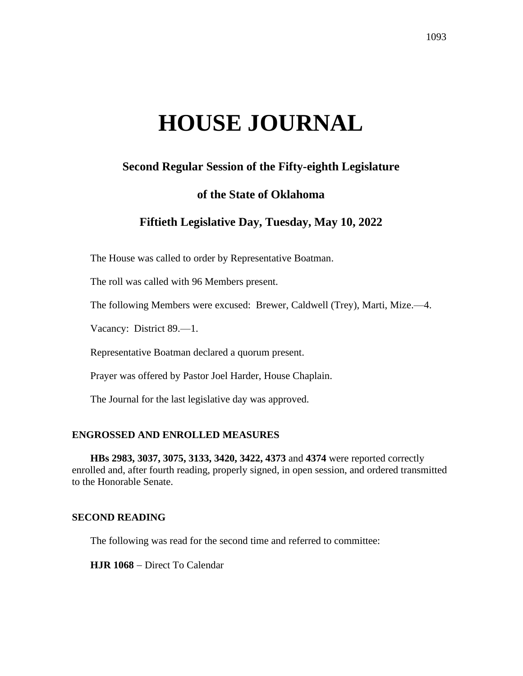# **HOUSE JOURNAL**

# **Second Regular Session of the Fifty-eighth Legislature**

# **of the State of Oklahoma**

# **Fiftieth Legislative Day, Tuesday, May 10, 2022**

The House was called to order by Representative Boatman.

The roll was called with 96 Members present.

The following Members were excused: Brewer, Caldwell (Trey), Marti, Mize.—4.

Vacancy: District 89.—1.

Representative Boatman declared a quorum present.

Prayer was offered by Pastor Joel Harder, House Chaplain.

The Journal for the last legislative day was approved.

## **ENGROSSED AND ENROLLED MEASURES**

**HBs 2983, 3037, 3075, 3133, 3420, 3422, 4373** and **4374** were reported correctly enrolled and, after fourth reading, properly signed, in open session, and ordered transmitted to the Honorable Senate.

## **SECOND READING**

The following was read for the second time and referred to committee:

**HJR 1068** − Direct To Calendar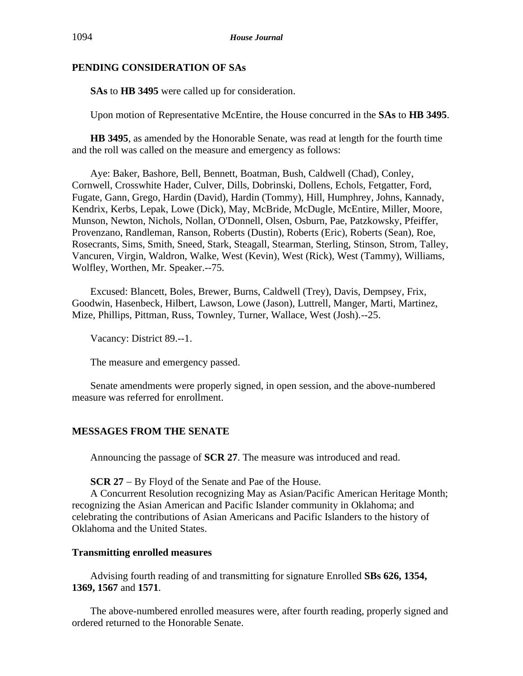# **PENDING CONSIDERATION OF SAs**

**SAs** to **HB 3495** were called up for consideration.

Upon motion of Representative McEntire, the House concurred in the **SAs** to **HB 3495**.

**HB 3495**, as amended by the Honorable Senate, was read at length for the fourth time and the roll was called on the measure and emergency as follows:

Aye: Baker, Bashore, Bell, Bennett, Boatman, Bush, Caldwell (Chad), Conley, Cornwell, Crosswhite Hader, Culver, Dills, Dobrinski, Dollens, Echols, Fetgatter, Ford, Fugate, Gann, Grego, Hardin (David), Hardin (Tommy), Hill, Humphrey, Johns, Kannady, Kendrix, Kerbs, Lepak, Lowe (Dick), May, McBride, McDugle, McEntire, Miller, Moore, Munson, Newton, Nichols, Nollan, O'Donnell, Olsen, Osburn, Pae, Patzkowsky, Pfeiffer, Provenzano, Randleman, Ranson, Roberts (Dustin), Roberts (Eric), Roberts (Sean), Roe, Rosecrants, Sims, Smith, Sneed, Stark, Steagall, Stearman, Sterling, Stinson, Strom, Talley, Vancuren, Virgin, Waldron, Walke, West (Kevin), West (Rick), West (Tammy), Williams, Wolfley, Worthen, Mr. Speaker.--75.

Excused: Blancett, Boles, Brewer, Burns, Caldwell (Trey), Davis, Dempsey, Frix, Goodwin, Hasenbeck, Hilbert, Lawson, Lowe (Jason), Luttrell, Manger, Marti, Martinez, Mize, Phillips, Pittman, Russ, Townley, Turner, Wallace, West (Josh).--25.

Vacancy: District 89.--1.

The measure and emergency passed.

Senate amendments were properly signed, in open session, and the above-numbered measure was referred for enrollment.

# **MESSAGES FROM THE SENATE**

Announcing the passage of **SCR 27**. The measure was introduced and read.

**SCR 27** − By Floyd of the Senate and Pae of the House.

A Concurrent Resolution recognizing May as Asian/Pacific American Heritage Month; recognizing the Asian American and Pacific Islander community in Oklahoma; and celebrating the contributions of Asian Americans and Pacific Islanders to the history of Oklahoma and the United States.

# **Transmitting enrolled measures**

Advising fourth reading of and transmitting for signature Enrolled **SBs 626, 1354, 1369, 1567** and **1571**.

The above-numbered enrolled measures were, after fourth reading, properly signed and ordered returned to the Honorable Senate.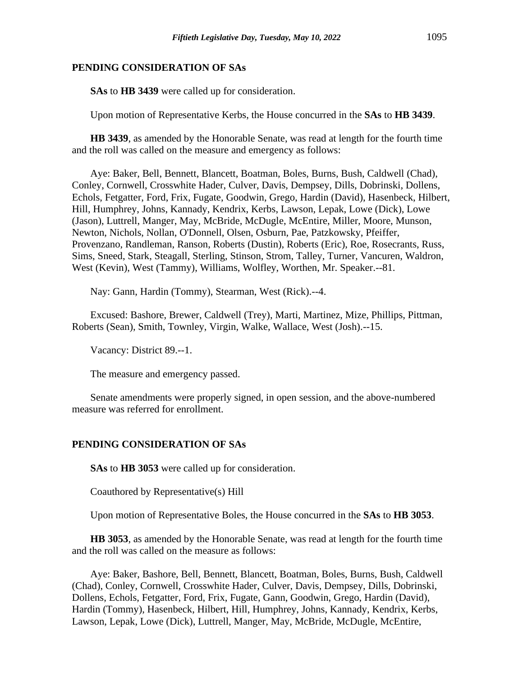## **PENDING CONSIDERATION OF SAs**

**SAs** to **HB 3439** were called up for consideration.

Upon motion of Representative Kerbs, the House concurred in the **SAs** to **HB 3439**.

**HB 3439**, as amended by the Honorable Senate, was read at length for the fourth time and the roll was called on the measure and emergency as follows:

Aye: Baker, Bell, Bennett, Blancett, Boatman, Boles, Burns, Bush, Caldwell (Chad), Conley, Cornwell, Crosswhite Hader, Culver, Davis, Dempsey, Dills, Dobrinski, Dollens, Echols, Fetgatter, Ford, Frix, Fugate, Goodwin, Grego, Hardin (David), Hasenbeck, Hilbert, Hill, Humphrey, Johns, Kannady, Kendrix, Kerbs, Lawson, Lepak, Lowe (Dick), Lowe (Jason), Luttrell, Manger, May, McBride, McDugle, McEntire, Miller, Moore, Munson, Newton, Nichols, Nollan, O'Donnell, Olsen, Osburn, Pae, Patzkowsky, Pfeiffer, Provenzano, Randleman, Ranson, Roberts (Dustin), Roberts (Eric), Roe, Rosecrants, Russ, Sims, Sneed, Stark, Steagall, Sterling, Stinson, Strom, Talley, Turner, Vancuren, Waldron, West (Kevin), West (Tammy), Williams, Wolfley, Worthen, Mr. Speaker.--81.

Nay: Gann, Hardin (Tommy), Stearman, West (Rick).--4.

Excused: Bashore, Brewer, Caldwell (Trey), Marti, Martinez, Mize, Phillips, Pittman, Roberts (Sean), Smith, Townley, Virgin, Walke, Wallace, West (Josh).--15.

Vacancy: District 89.--1.

The measure and emergency passed.

Senate amendments were properly signed, in open session, and the above-numbered measure was referred for enrollment.

#### **PENDING CONSIDERATION OF SAs**

**SAs** to **HB 3053** were called up for consideration.

Coauthored by Representative(s) Hill

Upon motion of Representative Boles, the House concurred in the **SAs** to **HB 3053**.

**HB 3053**, as amended by the Honorable Senate, was read at length for the fourth time and the roll was called on the measure as follows:

Aye: Baker, Bashore, Bell, Bennett, Blancett, Boatman, Boles, Burns, Bush, Caldwell (Chad), Conley, Cornwell, Crosswhite Hader, Culver, Davis, Dempsey, Dills, Dobrinski, Dollens, Echols, Fetgatter, Ford, Frix, Fugate, Gann, Goodwin, Grego, Hardin (David), Hardin (Tommy), Hasenbeck, Hilbert, Hill, Humphrey, Johns, Kannady, Kendrix, Kerbs, Lawson, Lepak, Lowe (Dick), Luttrell, Manger, May, McBride, McDugle, McEntire,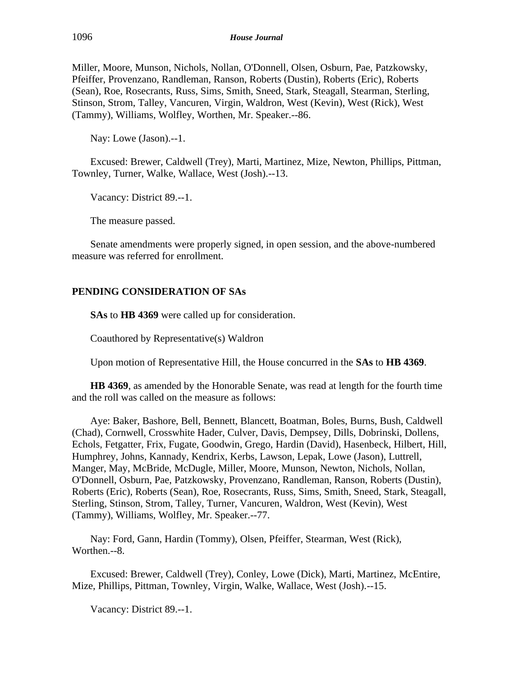Miller, Moore, Munson, Nichols, Nollan, O'Donnell, Olsen, Osburn, Pae, Patzkowsky, Pfeiffer, Provenzano, Randleman, Ranson, Roberts (Dustin), Roberts (Eric), Roberts (Sean), Roe, Rosecrants, Russ, Sims, Smith, Sneed, Stark, Steagall, Stearman, Sterling, Stinson, Strom, Talley, Vancuren, Virgin, Waldron, West (Kevin), West (Rick), West (Tammy), Williams, Wolfley, Worthen, Mr. Speaker.--86.

Nay: Lowe (Jason).--1.

Excused: Brewer, Caldwell (Trey), Marti, Martinez, Mize, Newton, Phillips, Pittman, Townley, Turner, Walke, Wallace, West (Josh).--13.

Vacancy: District 89.--1.

The measure passed.

Senate amendments were properly signed, in open session, and the above-numbered measure was referred for enrollment.

# **PENDING CONSIDERATION OF SAs**

**SAs** to **HB 4369** were called up for consideration.

Coauthored by Representative(s) Waldron

Upon motion of Representative Hill, the House concurred in the **SAs** to **HB 4369**.

**HB 4369**, as amended by the Honorable Senate, was read at length for the fourth time and the roll was called on the measure as follows:

Aye: Baker, Bashore, Bell, Bennett, Blancett, Boatman, Boles, Burns, Bush, Caldwell (Chad), Cornwell, Crosswhite Hader, Culver, Davis, Dempsey, Dills, Dobrinski, Dollens, Echols, Fetgatter, Frix, Fugate, Goodwin, Grego, Hardin (David), Hasenbeck, Hilbert, Hill, Humphrey, Johns, Kannady, Kendrix, Kerbs, Lawson, Lepak, Lowe (Jason), Luttrell, Manger, May, McBride, McDugle, Miller, Moore, Munson, Newton, Nichols, Nollan, O'Donnell, Osburn, Pae, Patzkowsky, Provenzano, Randleman, Ranson, Roberts (Dustin), Roberts (Eric), Roberts (Sean), Roe, Rosecrants, Russ, Sims, Smith, Sneed, Stark, Steagall, Sterling, Stinson, Strom, Talley, Turner, Vancuren, Waldron, West (Kevin), West (Tammy), Williams, Wolfley, Mr. Speaker.--77.

Nay: Ford, Gann, Hardin (Tommy), Olsen, Pfeiffer, Stearman, West (Rick), Worthen.--8.

Excused: Brewer, Caldwell (Trey), Conley, Lowe (Dick), Marti, Martinez, McEntire, Mize, Phillips, Pittman, Townley, Virgin, Walke, Wallace, West (Josh).--15.

Vacancy: District 89.--1.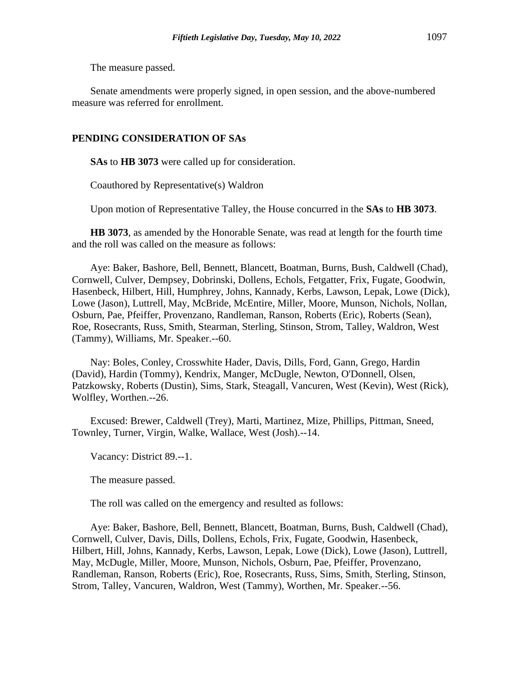The measure passed.

Senate amendments were properly signed, in open session, and the above-numbered measure was referred for enrollment.

## **PENDING CONSIDERATION OF SAs**

**SAs** to **HB 3073** were called up for consideration.

Coauthored by Representative(s) Waldron

Upon motion of Representative Talley, the House concurred in the **SAs** to **HB 3073**.

**HB 3073**, as amended by the Honorable Senate, was read at length for the fourth time and the roll was called on the measure as follows:

Aye: Baker, Bashore, Bell, Bennett, Blancett, Boatman, Burns, Bush, Caldwell (Chad), Cornwell, Culver, Dempsey, Dobrinski, Dollens, Echols, Fetgatter, Frix, Fugate, Goodwin, Hasenbeck, Hilbert, Hill, Humphrey, Johns, Kannady, Kerbs, Lawson, Lepak, Lowe (Dick), Lowe (Jason), Luttrell, May, McBride, McEntire, Miller, Moore, Munson, Nichols, Nollan, Osburn, Pae, Pfeiffer, Provenzano, Randleman, Ranson, Roberts (Eric), Roberts (Sean), Roe, Rosecrants, Russ, Smith, Stearman, Sterling, Stinson, Strom, Talley, Waldron, West (Tammy), Williams, Mr. Speaker.--60.

Nay: Boles, Conley, Crosswhite Hader, Davis, Dills, Ford, Gann, Grego, Hardin (David), Hardin (Tommy), Kendrix, Manger, McDugle, Newton, O'Donnell, Olsen, Patzkowsky, Roberts (Dustin), Sims, Stark, Steagall, Vancuren, West (Kevin), West (Rick), Wolfley, Worthen.--26.

Excused: Brewer, Caldwell (Trey), Marti, Martinez, Mize, Phillips, Pittman, Sneed, Townley, Turner, Virgin, Walke, Wallace, West (Josh).--14.

Vacancy: District 89.--1.

The measure passed.

The roll was called on the emergency and resulted as follows:

Aye: Baker, Bashore, Bell, Bennett, Blancett, Boatman, Burns, Bush, Caldwell (Chad), Cornwell, Culver, Davis, Dills, Dollens, Echols, Frix, Fugate, Goodwin, Hasenbeck, Hilbert, Hill, Johns, Kannady, Kerbs, Lawson, Lepak, Lowe (Dick), Lowe (Jason), Luttrell, May, McDugle, Miller, Moore, Munson, Nichols, Osburn, Pae, Pfeiffer, Provenzano, Randleman, Ranson, Roberts (Eric), Roe, Rosecrants, Russ, Sims, Smith, Sterling, Stinson, Strom, Talley, Vancuren, Waldron, West (Tammy), Worthen, Mr. Speaker.--56.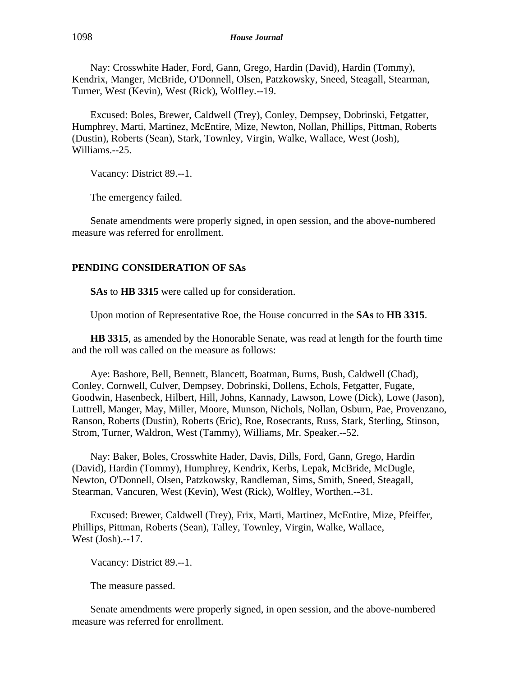Nay: Crosswhite Hader, Ford, Gann, Grego, Hardin (David), Hardin (Tommy), Kendrix, Manger, McBride, O'Donnell, Olsen, Patzkowsky, Sneed, Steagall, Stearman, Turner, West (Kevin), West (Rick), Wolfley.--19.

Excused: Boles, Brewer, Caldwell (Trey), Conley, Dempsey, Dobrinski, Fetgatter, Humphrey, Marti, Martinez, McEntire, Mize, Newton, Nollan, Phillips, Pittman, Roberts (Dustin), Roberts (Sean), Stark, Townley, Virgin, Walke, Wallace, West (Josh), Williams.--25.

Vacancy: District 89.--1.

The emergency failed.

Senate amendments were properly signed, in open session, and the above-numbered measure was referred for enrollment.

# **PENDING CONSIDERATION OF SAs**

**SAs** to **HB 3315** were called up for consideration.

Upon motion of Representative Roe, the House concurred in the **SAs** to **HB 3315**.

**HB 3315**, as amended by the Honorable Senate, was read at length for the fourth time and the roll was called on the measure as follows:

Aye: Bashore, Bell, Bennett, Blancett, Boatman, Burns, Bush, Caldwell (Chad), Conley, Cornwell, Culver, Dempsey, Dobrinski, Dollens, Echols, Fetgatter, Fugate, Goodwin, Hasenbeck, Hilbert, Hill, Johns, Kannady, Lawson, Lowe (Dick), Lowe (Jason), Luttrell, Manger, May, Miller, Moore, Munson, Nichols, Nollan, Osburn, Pae, Provenzano, Ranson, Roberts (Dustin), Roberts (Eric), Roe, Rosecrants, Russ, Stark, Sterling, Stinson, Strom, Turner, Waldron, West (Tammy), Williams, Mr. Speaker.--52.

Nay: Baker, Boles, Crosswhite Hader, Davis, Dills, Ford, Gann, Grego, Hardin (David), Hardin (Tommy), Humphrey, Kendrix, Kerbs, Lepak, McBride, McDugle, Newton, O'Donnell, Olsen, Patzkowsky, Randleman, Sims, Smith, Sneed, Steagall, Stearman, Vancuren, West (Kevin), West (Rick), Wolfley, Worthen.--31.

Excused: Brewer, Caldwell (Trey), Frix, Marti, Martinez, McEntire, Mize, Pfeiffer, Phillips, Pittman, Roberts (Sean), Talley, Townley, Virgin, Walke, Wallace, West (Josh).--17.

Vacancy: District 89.--1.

The measure passed.

Senate amendments were properly signed, in open session, and the above-numbered measure was referred for enrollment.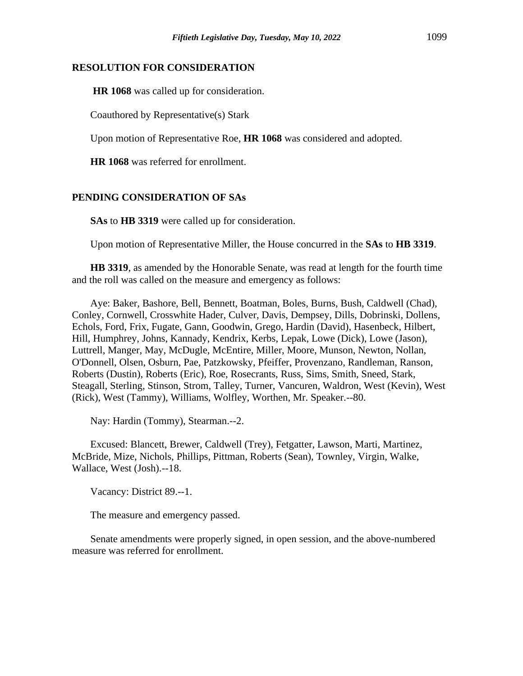## **RESOLUTION FOR CONSIDERATION**

**HR 1068** was called up for consideration.

Coauthored by Representative(s) Stark

Upon motion of Representative Roe, **HR 1068** was considered and adopted.

**HR 1068** was referred for enrollment.

# **PENDING CONSIDERATION OF SAs**

**SAs** to **HB 3319** were called up for consideration.

Upon motion of Representative Miller, the House concurred in the **SAs** to **HB 3319**.

**HB 3319**, as amended by the Honorable Senate, was read at length for the fourth time and the roll was called on the measure and emergency as follows:

Aye: Baker, Bashore, Bell, Bennett, Boatman, Boles, Burns, Bush, Caldwell (Chad), Conley, Cornwell, Crosswhite Hader, Culver, Davis, Dempsey, Dills, Dobrinski, Dollens, Echols, Ford, Frix, Fugate, Gann, Goodwin, Grego, Hardin (David), Hasenbeck, Hilbert, Hill, Humphrey, Johns, Kannady, Kendrix, Kerbs, Lepak, Lowe (Dick), Lowe (Jason), Luttrell, Manger, May, McDugle, McEntire, Miller, Moore, Munson, Newton, Nollan, O'Donnell, Olsen, Osburn, Pae, Patzkowsky, Pfeiffer, Provenzano, Randleman, Ranson, Roberts (Dustin), Roberts (Eric), Roe, Rosecrants, Russ, Sims, Smith, Sneed, Stark, Steagall, Sterling, Stinson, Strom, Talley, Turner, Vancuren, Waldron, West (Kevin), West (Rick), West (Tammy), Williams, Wolfley, Worthen, Mr. Speaker.--80.

Nay: Hardin (Tommy), Stearman.--2.

Excused: Blancett, Brewer, Caldwell (Trey), Fetgatter, Lawson, Marti, Martinez, McBride, Mize, Nichols, Phillips, Pittman, Roberts (Sean), Townley, Virgin, Walke, Wallace, West (Josh).--18.

Vacancy: District 89.--1.

The measure and emergency passed.

Senate amendments were properly signed, in open session, and the above-numbered measure was referred for enrollment.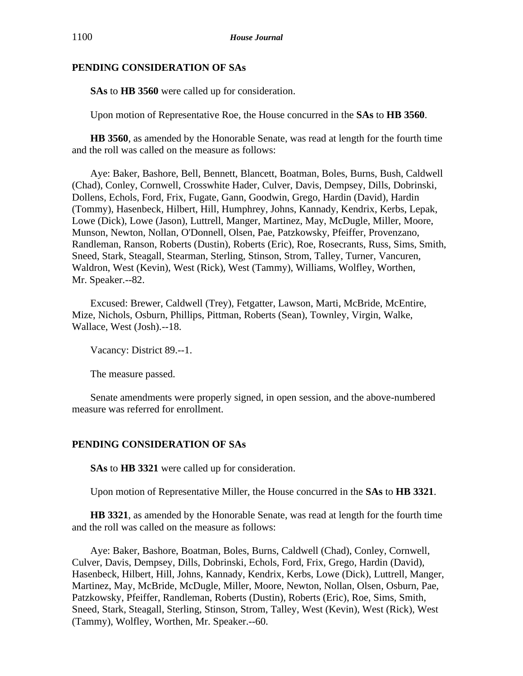## **PENDING CONSIDERATION OF SAs**

**SAs** to **HB 3560** were called up for consideration.

Upon motion of Representative Roe, the House concurred in the **SAs** to **HB 3560**.

**HB 3560**, as amended by the Honorable Senate, was read at length for the fourth time and the roll was called on the measure as follows:

Aye: Baker, Bashore, Bell, Bennett, Blancett, Boatman, Boles, Burns, Bush, Caldwell (Chad), Conley, Cornwell, Crosswhite Hader, Culver, Davis, Dempsey, Dills, Dobrinski, Dollens, Echols, Ford, Frix, Fugate, Gann, Goodwin, Grego, Hardin (David), Hardin (Tommy), Hasenbeck, Hilbert, Hill, Humphrey, Johns, Kannady, Kendrix, Kerbs, Lepak, Lowe (Dick), Lowe (Jason), Luttrell, Manger, Martinez, May, McDugle, Miller, Moore, Munson, Newton, Nollan, O'Donnell, Olsen, Pae, Patzkowsky, Pfeiffer, Provenzano, Randleman, Ranson, Roberts (Dustin), Roberts (Eric), Roe, Rosecrants, Russ, Sims, Smith, Sneed, Stark, Steagall, Stearman, Sterling, Stinson, Strom, Talley, Turner, Vancuren, Waldron, West (Kevin), West (Rick), West (Tammy), Williams, Wolfley, Worthen, Mr. Speaker.--82.

Excused: Brewer, Caldwell (Trey), Fetgatter, Lawson, Marti, McBride, McEntire, Mize, Nichols, Osburn, Phillips, Pittman, Roberts (Sean), Townley, Virgin, Walke, Wallace, West (Josh).--18.

Vacancy: District 89.--1.

The measure passed.

Senate amendments were properly signed, in open session, and the above-numbered measure was referred for enrollment.

# **PENDING CONSIDERATION OF SAs**

**SAs** to **HB 3321** were called up for consideration.

Upon motion of Representative Miller, the House concurred in the **SAs** to **HB 3321**.

**HB 3321**, as amended by the Honorable Senate, was read at length for the fourth time and the roll was called on the measure as follows:

Aye: Baker, Bashore, Boatman, Boles, Burns, Caldwell (Chad), Conley, Cornwell, Culver, Davis, Dempsey, Dills, Dobrinski, Echols, Ford, Frix, Grego, Hardin (David), Hasenbeck, Hilbert, Hill, Johns, Kannady, Kendrix, Kerbs, Lowe (Dick), Luttrell, Manger, Martinez, May, McBride, McDugle, Miller, Moore, Newton, Nollan, Olsen, Osburn, Pae, Patzkowsky, Pfeiffer, Randleman, Roberts (Dustin), Roberts (Eric), Roe, Sims, Smith, Sneed, Stark, Steagall, Sterling, Stinson, Strom, Talley, West (Kevin), West (Rick), West (Tammy), Wolfley, Worthen, Mr. Speaker.--60.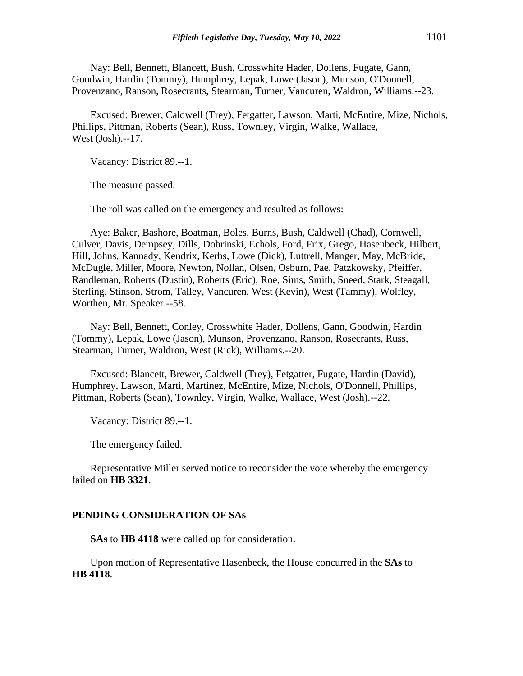Nay: Bell, Bennett, Blancett, Bush, Crosswhite Hader, Dollens, Fugate, Gann, Goodwin, Hardin (Tommy), Humphrey, Lepak, Lowe (Jason), Munson, O'Donnell, Provenzano, Ranson, Rosecrants, Stearman, Turner, Vancuren, Waldron, Williams.--23.

Excused: Brewer, Caldwell (Trey), Fetgatter, Lawson, Marti, McEntire, Mize, Nichols, Phillips, Pittman, Roberts (Sean), Russ, Townley, Virgin, Walke, Wallace, West (Josh).--17.

Vacancy: District 89.--1.

The measure passed.

The roll was called on the emergency and resulted as follows:

Aye: Baker, Bashore, Boatman, Boles, Burns, Bush, Caldwell (Chad), Cornwell, Culver, Davis, Dempsey, Dills, Dobrinski, Echols, Ford, Frix, Grego, Hasenbeck, Hilbert, Hill, Johns, Kannady, Kendrix, Kerbs, Lowe (Dick), Luttrell, Manger, May, McBride, McDugle, Miller, Moore, Newton, Nollan, Olsen, Osburn, Pae, Patzkowsky, Pfeiffer, Randleman, Roberts (Dustin), Roberts (Eric), Roe, Sims, Smith, Sneed, Stark, Steagall, Sterling, Stinson, Strom, Talley, Vancuren, West (Kevin), West (Tammy), Wolfley, Worthen, Mr. Speaker.--58.

Nay: Bell, Bennett, Conley, Crosswhite Hader, Dollens, Gann, Goodwin, Hardin (Tommy), Lepak, Lowe (Jason), Munson, Provenzano, Ranson, Rosecrants, Russ, Stearman, Turner, Waldron, West (Rick), Williams.--20.

Excused: Blancett, Brewer, Caldwell (Trey), Fetgatter, Fugate, Hardin (David), Humphrey, Lawson, Marti, Martinez, McEntire, Mize, Nichols, O'Donnell, Phillips, Pittman, Roberts (Sean), Townley, Virgin, Walke, Wallace, West (Josh).--22.

Vacancy: District 89.--1.

The emergency failed.

Representative Miller served notice to reconsider the vote whereby the emergency failed on **HB 3321**.

#### **PENDING CONSIDERATION OF SAs**

**SAs** to **HB 4118** were called up for consideration.

Upon motion of Representative Hasenbeck, the House concurred in the **SAs** to **HB 4118**.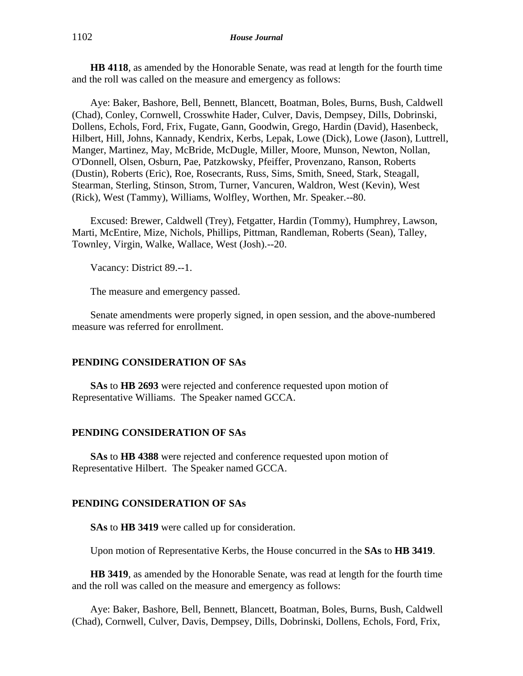**HB 4118**, as amended by the Honorable Senate, was read at length for the fourth time and the roll was called on the measure and emergency as follows:

Aye: Baker, Bashore, Bell, Bennett, Blancett, Boatman, Boles, Burns, Bush, Caldwell (Chad), Conley, Cornwell, Crosswhite Hader, Culver, Davis, Dempsey, Dills, Dobrinski, Dollens, Echols, Ford, Frix, Fugate, Gann, Goodwin, Grego, Hardin (David), Hasenbeck, Hilbert, Hill, Johns, Kannady, Kendrix, Kerbs, Lepak, Lowe (Dick), Lowe (Jason), Luttrell, Manger, Martinez, May, McBride, McDugle, Miller, Moore, Munson, Newton, Nollan, O'Donnell, Olsen, Osburn, Pae, Patzkowsky, Pfeiffer, Provenzano, Ranson, Roberts (Dustin), Roberts (Eric), Roe, Rosecrants, Russ, Sims, Smith, Sneed, Stark, Steagall, Stearman, Sterling, Stinson, Strom, Turner, Vancuren, Waldron, West (Kevin), West (Rick), West (Tammy), Williams, Wolfley, Worthen, Mr. Speaker.--80.

Excused: Brewer, Caldwell (Trey), Fetgatter, Hardin (Tommy), Humphrey, Lawson, Marti, McEntire, Mize, Nichols, Phillips, Pittman, Randleman, Roberts (Sean), Talley, Townley, Virgin, Walke, Wallace, West (Josh).--20.

Vacancy: District 89.--1.

The measure and emergency passed.

Senate amendments were properly signed, in open session, and the above-numbered measure was referred for enrollment.

## **PENDING CONSIDERATION OF SAs**

**SAs** to **HB 2693** were rejected and conference requested upon motion of Representative Williams. The Speaker named GCCA.

## **PENDING CONSIDERATION OF SAs**

**SAs** to **HB 4388** were rejected and conference requested upon motion of Representative Hilbert. The Speaker named GCCA.

## **PENDING CONSIDERATION OF SAs**

**SAs** to **HB 3419** were called up for consideration.

Upon motion of Representative Kerbs, the House concurred in the **SAs** to **HB 3419**.

**HB 3419**, as amended by the Honorable Senate, was read at length for the fourth time and the roll was called on the measure and emergency as follows:

Aye: Baker, Bashore, Bell, Bennett, Blancett, Boatman, Boles, Burns, Bush, Caldwell (Chad), Cornwell, Culver, Davis, Dempsey, Dills, Dobrinski, Dollens, Echols, Ford, Frix,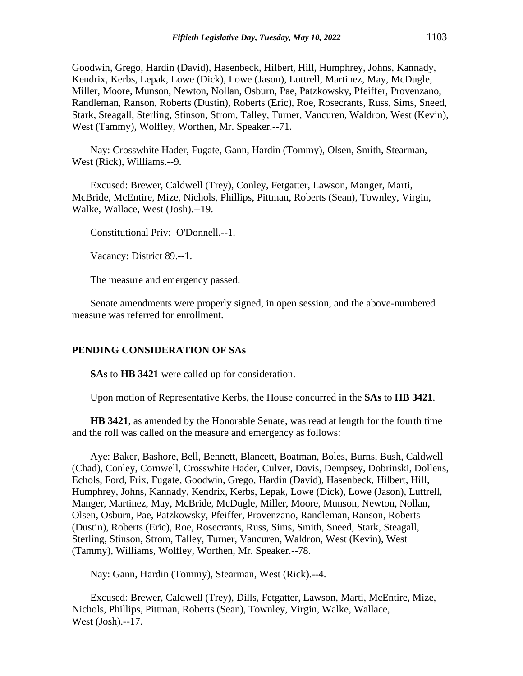Goodwin, Grego, Hardin (David), Hasenbeck, Hilbert, Hill, Humphrey, Johns, Kannady, Kendrix, Kerbs, Lepak, Lowe (Dick), Lowe (Jason), Luttrell, Martinez, May, McDugle, Miller, Moore, Munson, Newton, Nollan, Osburn, Pae, Patzkowsky, Pfeiffer, Provenzano, Randleman, Ranson, Roberts (Dustin), Roberts (Eric), Roe, Rosecrants, Russ, Sims, Sneed, Stark, Steagall, Sterling, Stinson, Strom, Talley, Turner, Vancuren, Waldron, West (Kevin), West (Tammy), Wolfley, Worthen, Mr. Speaker.--71.

Nay: Crosswhite Hader, Fugate, Gann, Hardin (Tommy), Olsen, Smith, Stearman, West (Rick), Williams.--9.

Excused: Brewer, Caldwell (Trey), Conley, Fetgatter, Lawson, Manger, Marti, McBride, McEntire, Mize, Nichols, Phillips, Pittman, Roberts (Sean), Townley, Virgin, Walke, Wallace, West (Josh).--19.

Constitutional Priv: O'Donnell.--1.

Vacancy: District 89.--1.

The measure and emergency passed.

Senate amendments were properly signed, in open session, and the above-numbered measure was referred for enrollment.

#### **PENDING CONSIDERATION OF SAs**

**SAs** to **HB 3421** were called up for consideration.

Upon motion of Representative Kerbs, the House concurred in the **SAs** to **HB 3421**.

**HB 3421**, as amended by the Honorable Senate, was read at length for the fourth time and the roll was called on the measure and emergency as follows:

Aye: Baker, Bashore, Bell, Bennett, Blancett, Boatman, Boles, Burns, Bush, Caldwell (Chad), Conley, Cornwell, Crosswhite Hader, Culver, Davis, Dempsey, Dobrinski, Dollens, Echols, Ford, Frix, Fugate, Goodwin, Grego, Hardin (David), Hasenbeck, Hilbert, Hill, Humphrey, Johns, Kannady, Kendrix, Kerbs, Lepak, Lowe (Dick), Lowe (Jason), Luttrell, Manger, Martinez, May, McBride, McDugle, Miller, Moore, Munson, Newton, Nollan, Olsen, Osburn, Pae, Patzkowsky, Pfeiffer, Provenzano, Randleman, Ranson, Roberts (Dustin), Roberts (Eric), Roe, Rosecrants, Russ, Sims, Smith, Sneed, Stark, Steagall, Sterling, Stinson, Strom, Talley, Turner, Vancuren, Waldron, West (Kevin), West (Tammy), Williams, Wolfley, Worthen, Mr. Speaker.--78.

Nay: Gann, Hardin (Tommy), Stearman, West (Rick).--4.

Excused: Brewer, Caldwell (Trey), Dills, Fetgatter, Lawson, Marti, McEntire, Mize, Nichols, Phillips, Pittman, Roberts (Sean), Townley, Virgin, Walke, Wallace, West (Josh).--17.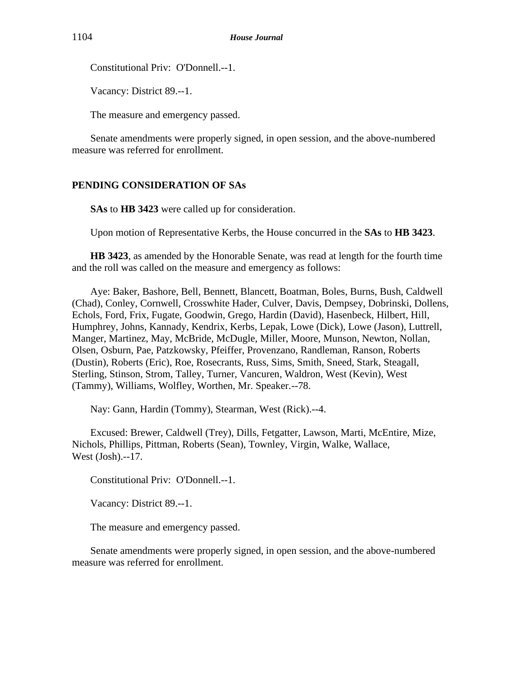Constitutional Priv: O'Donnell.--1.

Vacancy: District 89.--1.

The measure and emergency passed.

Senate amendments were properly signed, in open session, and the above-numbered measure was referred for enrollment.

# **PENDING CONSIDERATION OF SAs**

**SAs** to **HB 3423** were called up for consideration.

Upon motion of Representative Kerbs, the House concurred in the **SAs** to **HB 3423**.

**HB 3423**, as amended by the Honorable Senate, was read at length for the fourth time and the roll was called on the measure and emergency as follows:

Aye: Baker, Bashore, Bell, Bennett, Blancett, Boatman, Boles, Burns, Bush, Caldwell (Chad), Conley, Cornwell, Crosswhite Hader, Culver, Davis, Dempsey, Dobrinski, Dollens, Echols, Ford, Frix, Fugate, Goodwin, Grego, Hardin (David), Hasenbeck, Hilbert, Hill, Humphrey, Johns, Kannady, Kendrix, Kerbs, Lepak, Lowe (Dick), Lowe (Jason), Luttrell, Manger, Martinez, May, McBride, McDugle, Miller, Moore, Munson, Newton, Nollan, Olsen, Osburn, Pae, Patzkowsky, Pfeiffer, Provenzano, Randleman, Ranson, Roberts (Dustin), Roberts (Eric), Roe, Rosecrants, Russ, Sims, Smith, Sneed, Stark, Steagall, Sterling, Stinson, Strom, Talley, Turner, Vancuren, Waldron, West (Kevin), West (Tammy), Williams, Wolfley, Worthen, Mr. Speaker.--78.

Nay: Gann, Hardin (Tommy), Stearman, West (Rick).--4.

Excused: Brewer, Caldwell (Trey), Dills, Fetgatter, Lawson, Marti, McEntire, Mize, Nichols, Phillips, Pittman, Roberts (Sean), Townley, Virgin, Walke, Wallace, West (Josh).--17.

Constitutional Priv: O'Donnell.--1.

Vacancy: District 89.--1.

The measure and emergency passed.

Senate amendments were properly signed, in open session, and the above-numbered measure was referred for enrollment.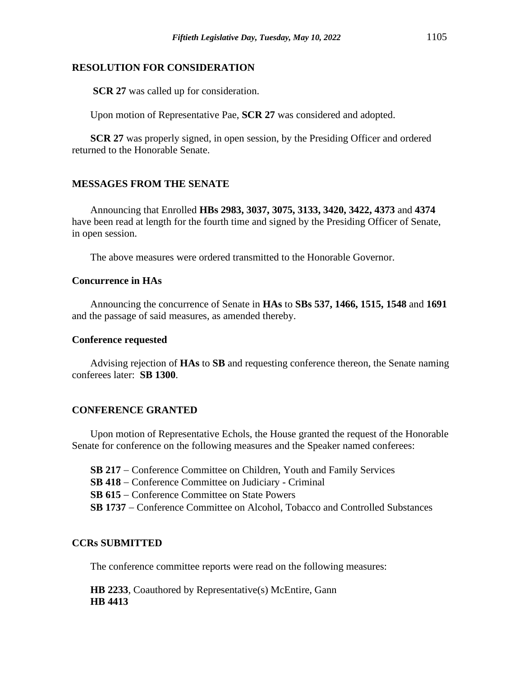## **RESOLUTION FOR CONSIDERATION**

**SCR 27** was called up for consideration.

Upon motion of Representative Pae, **SCR 27** was considered and adopted.

**SCR 27** was properly signed, in open session, by the Presiding Officer and ordered returned to the Honorable Senate.

# **MESSAGES FROM THE SENATE**

Announcing that Enrolled **HBs 2983, 3037, 3075, 3133, 3420, 3422, 4373** and **4374** have been read at length for the fourth time and signed by the Presiding Officer of Senate, in open session.

The above measures were ordered transmitted to the Honorable Governor.

## **Concurrence in HAs**

Announcing the concurrence of Senate in **HAs** to **SBs 537, 1466, 1515, 1548** and **1691** and the passage of said measures, as amended thereby.

#### **Conference requested**

Advising rejection of **HAs** to **SB** and requesting conference thereon, the Senate naming conferees later: **SB 1300**.

## **CONFERENCE GRANTED**

Upon motion of Representative Echols, the House granted the request of the Honorable Senate for conference on the following measures and the Speaker named conferees:

**SB 217** − Conference Committee on Children, Youth and Family Services **SB 418** − Conference Committee on Judiciary - Criminal **SB 615** − Conference Committee on State Powers **SB 1737** − Conference Committee on Alcohol, Tobacco and Controlled Substances

## **CCRs SUBMITTED**

The conference committee reports were read on the following measures:

**HB 2233**, Coauthored by Representative(s) McEntire, Gann **HB 4413**